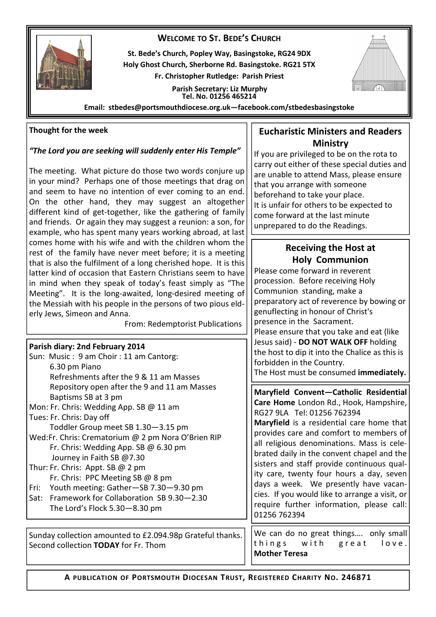## **WELCOME TO ST. BEDE'S CHURCH**



**St. Bede's Church, Popley Way, Basingstoke, RG24 9DX Holy Ghost Church, Sherborne Rd. Basingstoke. RG21 5TX Fr. Christopher Rutledge: Parish Priest** 

> **Parish Secretary: Liz Murphy Tel. No. 01256 465214**



**Email: stbedes@portsmouthdiocese.org.uk—facebook.com/stbedesbasingstoke** 

## **Thought for the week**

## *"The Lord you are seeking will suddenly enter His Temple"*

The meeting. What picture do those two words conjure up in your mind? Perhaps one of those meetings that drag on and seem to have no intention of ever coming to an end. On the other hand, they may suggest an altogether different kind of get-together, like the gathering of family and friends. Or again they may suggest a reunion: a son, for example, who has spent many years working abroad, at last comes home with his wife and with the children whom the rest of the family have never meet before; it is a meeting that is also the fulfilment of a long cherished hope. It is this latter kind of occasion that Eastern Christians seem to have in mind when they speak of today's feast simply as "The Meeting". It is the long-awaited, long-desired meeting of the Messiah with his people in the persons of two pious elderly Jews, Simeon and Anna.

From: Redemptorist Publications

#### **Parish diary: 2nd February 2014**

|                                                     | Sun: Music: 9 am Choir: 11 am Cantorg:        |  |  |
|-----------------------------------------------------|-----------------------------------------------|--|--|
|                                                     | 6.30 pm Piano                                 |  |  |
|                                                     | Refreshments after the 9 & 11 am Masses       |  |  |
|                                                     | Repository open after the 9 and 11 am Masses  |  |  |
|                                                     | Baptisms SB at 3 pm                           |  |  |
|                                                     | Mon: Fr. Chris: Wedding App. SB @ 11 am       |  |  |
|                                                     | Tues: Fr. Chris: Day off                      |  |  |
|                                                     | Toddler Group meet SB 1.30-3.15 pm            |  |  |
| Wed: Fr. Chris: Crematorium @ 2 pm Nora O'Brien RIP |                                               |  |  |
|                                                     | Fr. Chris: Wedding App. SB $@$ 6.30 pm        |  |  |
|                                                     | Journey in Faith SB @7.30                     |  |  |
| Thur: Fr. Chris: Appt. SB $@$ 2 pm                  |                                               |  |  |
|                                                     | Fr. Chris: PPC Meeting SB @ 8 pm              |  |  |
|                                                     | Fri: Youth meeting: Gather-SB 7.30-9.30 pm    |  |  |
|                                                     | Sat: Framework for Collaboration SB 9.30-2.30 |  |  |
|                                                     | The Lord's Flock $5.30 - 8.30$ pm             |  |  |

Sunday collection amounted to £2.094.98p Grateful thanks. Second collection **TODAY** for Fr. Thom

## **Eucharistic Ministers and Readers Ministry**

If you are privileged to be on the rota to carry out either of these special duties and are unable to attend Mass, please ensure that you arrange with someone beforehand to take your place. It is unfair for others to be expected to come forward at the last minute unprepared to do the Readings.

# **Receiving the Host at Holy Communion**

Please come forward in reverent procession. Before receiving Holy Communion standing, make a preparatory act of reverence by bowing or genuflecting in honour of Christ's presence in the Sacrament. Please ensure that you take and eat (like Jesus said) - **DO NOT WALK OFF** holding the host to dip it into the Chalice as this is forbidden in the Country. The Host must be consumed **immediately.** 

**Maryfield Convent—Catholic Residential Care Home** London Rd., Hook, Hampshire, RG27 9LA Tel: 01256 762394

**Maryfield** is a residential care home that provides care and comfort to members of all religious denominations. Mass is celebrated daily in the convent chapel and the sisters and staff provide continuous quality care, twenty four hours a day, seven days a week. We presently have vacancies. If you would like to arrange a visit, or require further information, please call: 01256 762394

We can do no great things.... only small things with great love. **Mother Teresa**

**A PUBLICATION OF PORTSMOUTH DIOCESAN TRUST, REGISTERED CHARITY NO. 246871**